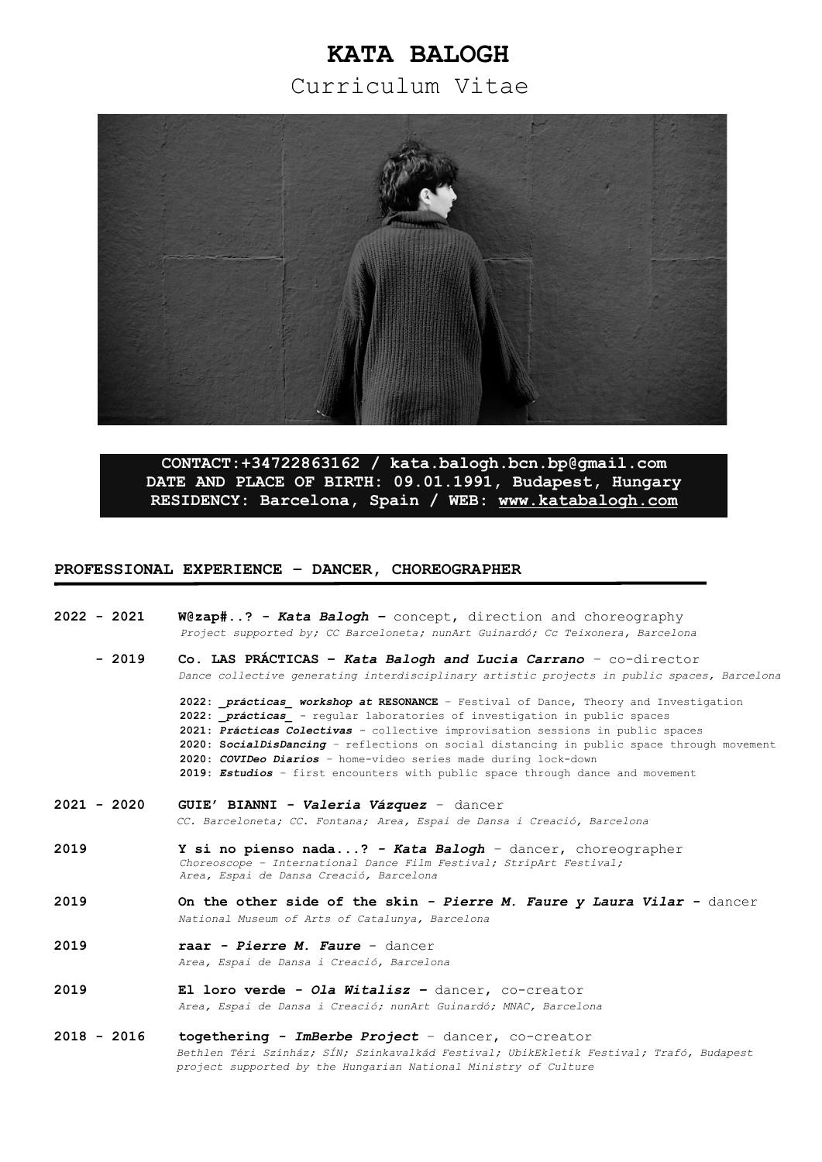# **KATA BALOGH**

Curriculum Vitae



**CONTACT:+34722863162 / [kata.balogh.bcn.bp@gmail.com](mailto:kata.balogh.bcn.bp@gmail.com) DATE AND PLACE OF BIRTH: 09.01.1991, Budapest, Hungary** RESIDENCY: Barcelona, Spain / WEB: www.katabalogh.com

## **PROFESSIONAL EXPERIENCE – DANCER, CHOREOGRAPHER**

**2022 - 2021 W@zap#..?** *- Kata Balogh –* concept, direction and choreography  *Project supported by; CC Barceloneta; nunArt Guinardó; Cc Teixonera, Barcelona*  **- 2019 Co. LAS PRÁCTICAS –** *Kata Balogh and Lucia Carrano –* co-director *Dance collective generating interdisciplinary artistic projects in public spaces, Barcelona* **2022:** *\_prácticas\_ workshop at* **RESONANCE** – Festival of Dance, Theory and Investigation **2022:** *\_prácticas\_ -* regular laboratories of investigation in public spaces **2021:** *Prácticas Colectivas -* collective improvisation sessions in public spaces **2020: S***ocialDisDancing –* reflections on social distancing in public space through movement **2020:** *COVIDeo Diarios –* home-video series made during lock-down

**2019:** *Estudios –* first encounters with public space through dance and movement

- **2021 2020 GUIE' BIANNI** *Valeria Vázquez* dancer *CC. Barceloneta; CC. Fontana; Area, Espai de Dansa i Creació, Barcelona*
- **2019 Y si no pienso nada...?** *Kata Balogh* dancer, choreographer *Choreoscope – International Dance Film Festival; StripArt Festival; Area, Espai de Dansa Creació, Barcelona*
- **2019 On the other side of the skin** *Pierre M. Faure y Laura Vilar* dancer *National Museum of Arts of Catalunya, Barcelona*
- **2019 raar** *Pierre M. Faure*  dancer  *Area, Espai de Dansa i Creació, Barcelona*
- **2019 El loro verde** *Ola Witalisz* dancer, co-creator *Area, Espai de Dansa i Creació; nunArt Guinardó; MNAC, Barcelona*
- **2018 2016 togethering** *ImBerbe Project*  dancer, co-creator *Bethlen Téri Színház; SÍN; Színkavalkád Festival; UbikEkletik Festival; Trafó, Budapest project supported by the Hungarian National Ministry of Culture*